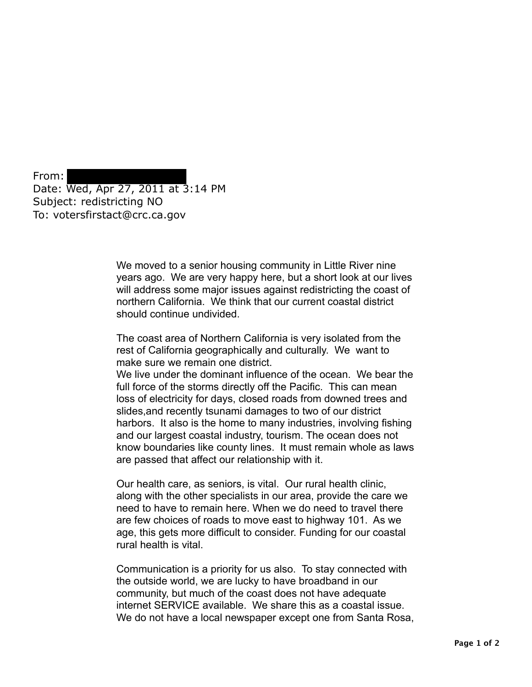From: Date: Wed, Apr 27, 2011 at 3:14 PM Subject: redistricting NO To: votersfirstact@crc.ca.gov

> We moved to a senior housing community in Little River nine years ago. We are very happy here, but a short look at our lives will address some major issues against redistricting the coast of northern California. We think that our current coastal district should continue undivided.

The coast area of Northern California is very isolated from the rest of California geographically and culturally. We want to make sure we remain one district.

We live under the dominant influence of the ocean. We bear the full force of the storms directly off the Pacific. This can mean loss of electricity for days, closed roads from downed trees and slides,and recently tsunami damages to two of our district harbors. It also is the home to many industries, involving fishing and our largest coastal industry, tourism. The ocean does not know boundaries like county lines. It must remain whole as laws are passed that affect our relationship with it.

Our health care, as seniors, is vital. Our rural health clinic, along with the other specialists in our area, provide the care we need to have to remain here. When we do need to travel there are few choices of roads to move east to highway 101. As we age, this gets more difficult to consider. Funding for our coastal rural health is vital.

Communication is a priority for us also. To stay connected with the outside world, we are lucky to have broadband in our community, but much of the coast does not have adequate internet SERVICE available. We share this as a coastal issue. We do not have a local newspaper except one from Santa Rosa,